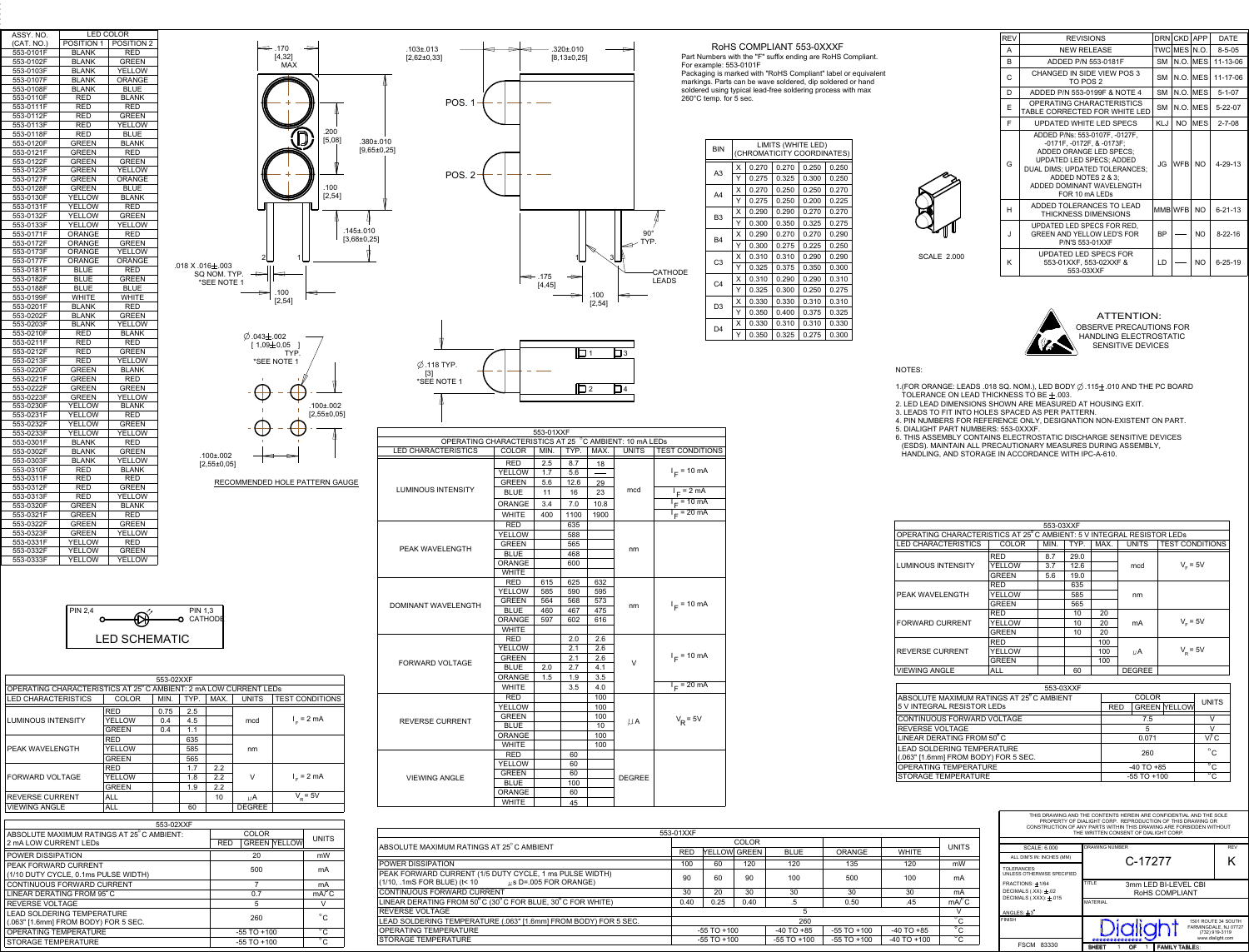| THIS DRAWING AND THE CONTENTS HEREIN ARE CONFIDENTIAL AND THE SOLE<br>PROPERTY OF DIALIGHT CORP. REPRODUCTION OF THIS DRAWING OR<br>CONSTRUCTION OF ANY PARTS WITHIN THIS DRAWING ARE FORBIDDEN WITHOUT<br>THE WRITTEN CONSENT OF DIALIGHT CORP. |                                                                                                |            |  |  |  |  |
|--------------------------------------------------------------------------------------------------------------------------------------------------------------------------------------------------------------------------------------------------|------------------------------------------------------------------------------------------------|------------|--|--|--|--|
| SCALE: 6.000                                                                                                                                                                                                                                     | DRAWING NUMBER                                                                                 | <b>REV</b> |  |  |  |  |
| ALL DIM'S IN: INCHES (MM)                                                                                                                                                                                                                        | C-17277                                                                                        | K          |  |  |  |  |
| TOLERANCES:<br>UNLESS OTHERWISE SPECIFIED                                                                                                                                                                                                        |                                                                                                |            |  |  |  |  |
| $FRACITIONS: +1/64$<br>DECIMALS $(XX): \pm .02$<br>DECIMALS $(XXX)$ : $\pm .015$                                                                                                                                                                 | TITLE<br>3mm LED BI-LEVEL CBI<br>ROHS COMPLIANT                                                |            |  |  |  |  |
| ANGLES: $\pm 3^\circ$                                                                                                                                                                                                                            | <b>MATERIAL</b>                                                                                |            |  |  |  |  |
| <b>FINISH</b>                                                                                                                                                                                                                                    | 1501 ROUTE 34 SOUTH<br>Dialiaht<br>FARMINGDALE, NJ 07727<br>(732) 919-3119<br>www.dialight.com |            |  |  |  |  |
| <b>FSCM</b><br>83330                                                                                                                                                                                                                             | <b>FAMILY TABLES:</b><br><b>SHEET</b><br>OF                                                    |            |  |  |  |  |

ATTENTION: OBSERVE PRECAUTIONS FOR<br>HANDLING ELECTROSTATIC<br>SENSITIVE DEVICES HANDLING ELECTROSTATIC SENSITIVE DEVICES

| <b>REV</b> | <b>REVISIONS</b>                                                                                                                                                                                                                 |            | DRN CKD      | <b>APP</b> | <b>DATE</b>   |
|------------|----------------------------------------------------------------------------------------------------------------------------------------------------------------------------------------------------------------------------------|------------|--------------|------------|---------------|
| A          | <b>NEW RELEASE</b>                                                                                                                                                                                                               |            | TWC MES N.O. |            | $8 - 5 - 05$  |
| B          | ADDED P/N 553-0181F                                                                                                                                                                                                              | <b>SM</b>  |              | N.O. MES   | 11-13-06      |
| C          | CHANGED IN SIDE VIEW POS 3<br>TO POS 2                                                                                                                                                                                           | SМ         |              | N.O. MES   | 11-17-06      |
| D          | ADDED P/N 553-0199F & NOTE 4                                                                                                                                                                                                     | <b>SM</b>  |              | N.O. MES   | $5 - 1 - 07$  |
| E          | OPERATING CHARACTERISTICS<br>TABLE CORRECTED FOR WHITE LED                                                                                                                                                                       | <b>SM</b>  |              | N.O. MES   | $5 - 22 - 07$ |
| F          | UPDATED WHITE LED SPECS                                                                                                                                                                                                          | <b>KLJ</b> | NO.          | <b>MES</b> | $2 - 7 - 08$  |
| G          | ADDED P/Ns: 553-0107F, -0127F,<br>-0171F, -0172F, & -0173F;<br>ADDED ORANGE LED SPECS:<br><b>UPDATED LED SPECS; ADDED</b><br>DUAL DIMS; UPDATED TOLERANCES;<br>ADDED NOTES 2 & 3:<br>ADDED DOMINANT WAVELENGTH<br>FOR 10 mA LEDs | JG         | <b>WFB</b>   | NO.        | $4 - 29 - 13$ |
| н          | ADDED TOLERANCES TO LEAD<br><b>THICKNESS DIMENSIONS</b>                                                                                                                                                                          |            | MMB WFB      | <b>NO</b>  | $6 - 21 - 13$ |
| J          | UPDATED LED SPECS FOR RED.<br><b>GREEN AND YELLOW LED'S FOR</b><br>P/N'S 553-01XXF                                                                                                                                               | ВP         |              | NO.        | $8 - 22 - 16$ |
| K          | UPDATED LED SPECS FOR<br>553-01XXF, 553-02XXF &<br>553-03XXF                                                                                                                                                                     | LD         |              | <b>NO</b>  | $6 - 25 - 19$ |



|                                                                                           | <b>GREEN</b>               |  | 60         |               |              |                 |               |                 |                 | STORAGE TEMPERATU |                      |
|-------------------------------------------------------------------------------------------|----------------------------|--|------------|---------------|--------------|-----------------|---------------|-----------------|-----------------|-------------------|----------------------|
| <b>VIEWING ANGLE</b>                                                                      | <b>BLUE</b>                |  | 100        | <b>DEGREE</b> |              |                 |               |                 |                 |                   |                      |
|                                                                                           | <b>ORANGE</b>              |  | 60         |               |              |                 |               |                 |                 |                   |                      |
|                                                                                           | WHITE                      |  | 45         |               |              |                 |               |                 |                 |                   |                      |
|                                                                                           |                            |  |            |               |              |                 |               |                 |                 |                   |                      |
|                                                                                           |                            |  |            |               |              |                 |               |                 |                 |                   |                      |
|                                                                                           |                            |  |            |               | 553-01XXF    |                 |               |                 |                 |                   |                      |
|                                                                                           |                            |  |            |               |              |                 | <b>COLOR</b>  |                 |                 |                   | <b>UNITS</b>         |
| ABSOLUTE MAXIMUM RATINGS AT 25°C AMBIENT                                                  |                            |  | <b>RED</b> |               | YELLOW GREEN | <b>BLUE</b>     | <b>ORANGE</b> | <b>WHITE</b>    |                 |                   |                      |
| POWER DISSIPATION                                                                         |                            |  |            |               | 100          | 60              | 120           | 120             | 135             | 120               | mW                   |
| PEAK FORWARD CURRENT (1/5 DUTY CYCLE, 1 ms PULSE WIDTH)                                   | $\mu$ s D=.005 FOR ORANGE) |  |            |               | 90           | 60              | 90            | 100             | 500             | 100               | mA                   |
| CONTINUOUS FORWARD CURRENT                                                                |                            |  |            |               | 30           | 20              | 30            | 30              | 30              | 30                | mA                   |
| LINEAR DERATING FROM $50^{\circ}$ C (30 $^{\circ}$ C FOR BLUE, 30 $^{\circ}$ C FOR WHITE) |                            |  |            |               | 0.40         | 0.25            | 0.40          | .5              | 0.50            | .45               | mA <sup>2</sup> C    |
| REVERSE VOLTAGE                                                                           |                            |  |            |               |              |                 |               | 5               |                 |                   | V                    |
| LEAD SOLDERING TEMPERATURE (.063" [1.6mm] FROM BODY) FOR 5 SEC.                           |                            |  |            |               |              |                 |               | 260             |                 |                   | $^{\circ}$ C         |
| OPERATING TEMPERATURE                                                                     |                            |  |            |               |              | $-55$ TO $+100$ |               | $-40$ TO $+85$  | $-55$ TO $+100$ | $-40$ TO $+85$    | $^{\circ}$ C         |
| STORAGE TEMPERATURE                                                                       |                            |  |            |               |              | $-55$ TO $+100$ |               | $-55$ TO $+100$ | $-55$ TO $+100$ | $-40$ TO $+100$   | $\overline{\circ}$ C |
|                                                                                           |                            |  |            |               |              |                 |               |                 |                 |                   |                      |

 $I_F$  = 20 mA

 $\mu$ A  $V_R$ = 5V

A3

A4

B3

B4

| LIMITS (WHITE LED) |                            |       |       |       |  |  |  |  |
|--------------------|----------------------------|-------|-------|-------|--|--|--|--|
|                    | (CHROMATICITY COORDINATES) |       |       |       |  |  |  |  |
| X                  | 0.270                      | 0.270 | 0.250 | 0.250 |  |  |  |  |
| Y                  | 0.275                      | 0.325 | 0.300 | 0.250 |  |  |  |  |
| X                  | 0.270                      | 0.250 | 0.250 | 0.270 |  |  |  |  |
| Υ                  | 0.275                      | 0.250 | 0.200 | 0.225 |  |  |  |  |
| X                  | 0.290                      | 0.290 | 0.270 | 0.270 |  |  |  |  |
| Υ                  | 0.300                      | 0.350 | 0.325 | 0.275 |  |  |  |  |
| X                  | 0.290                      | 0.270 | 0.270 | 0.290 |  |  |  |  |
| Υ                  | 0.300                      | 0.275 | 0.225 | 0.250 |  |  |  |  |
| X                  | 0.310                      | 0.310 | 0.290 | 0.290 |  |  |  |  |
| Υ                  | 0.325                      | 0.375 | 0.350 | 0.300 |  |  |  |  |
| X                  | 0.310                      | 0.290 | 0.290 | 0.310 |  |  |  |  |
| Υ                  | 0.325                      | 0.300 | 0.250 | 0.275 |  |  |  |  |
| X                  | 0.330                      | 0.330 | 0.310 | 0.310 |  |  |  |  |
| Y                  | 0.350                      | 0.400 | 0.375 | 0.325 |  |  |  |  |
| X                  | 0.330                      | 0.310 | 0.310 | 0.330 |  |  |  |  |
| Y                  | 0.350                      | 0.325 | 0.275 | 0.300 |  |  |  |  |

**BIN** 

C3

 $C<sub>4</sub>$ 

D3

D4

| ASSY. NO.              |                   | LED COLOR     |                        |
|------------------------|-------------------|---------------|------------------------|
| (CAT. NO.)             | <b>POSITION 1</b> | POSITION 2    |                        |
| 553-0101F              | <b>BLANK</b>      | <b>RED</b>    |                        |
| 553-0102F              | <b>BLANK</b>      | <b>GREEN</b>  |                        |
| 553-0103F              | <b>BLANK</b>      | YELLOW        |                        |
| 553-0107F              | <b>BLANK</b>      | <b>ORANGE</b> |                        |
| 553-0108F              | <b>BLANK</b>      | <b>BLUE</b>   |                        |
| 553-0110F              | RED               | <b>BLANK</b>  |                        |
| 553-0111F              | RED               | <b>RED</b>    |                        |
| 553-0112F              | RED               | <b>GREEN</b>  |                        |
| 553-0113F              | RED               | YELLOW        |                        |
| 553-0118F              | RED               | <b>BLUE</b>   |                        |
| 553-0120F              | <b>GREEN</b>      | <b>BLANK</b>  |                        |
| 553-0121F              | <b>GREEN</b>      | RED           |                        |
| 553-0122F              | <b>GREEN</b>      | <b>GREEN</b>  |                        |
| 553-0123F              | <b>GREEN</b>      | YELLOW        |                        |
| 553-0127F              | GREEN             | <b>ORANGE</b> |                        |
| 553-0128F              | <b>GREEN</b>      | <b>BLUE</b>   |                        |
| 553-0130F              | <b>YELLOW</b>     | <b>BLANK</b>  |                        |
| 553-0131F              | YELLOW            | RED           |                        |
| 553-0132F              | YELLOW            | GREEN         |                        |
| 553-0133F              | <b>YELLOW</b>     | YELLOW        |                        |
| 553-0171F              | ORANGE            | RED           |                        |
| 553-0172F              | <b>ORANGE</b>     | <b>GREEN</b>  |                        |
| 553-0173F              | <b>ORANGE</b>     | YELLOW        |                        |
| 553-0177F              | <b>ORANGE</b>     | <b>ORANGE</b> |                        |
| 553-0181F              | <b>BLUE</b>       | RED           | $.018$ X $.016\pm.003$ |
| 553-0182F              | <b>BLUE</b>       | GREEN         | SQ NOM. TYP.           |
| 553-0188F              | <b>BLUE</b>       | <b>BLUE</b>   | *SEE NOTE 1            |
| 553-0199F              | <b>WHITE</b>      | <b>WHITE</b>  |                        |
| 553-0201F              | <b>BLANK</b>      | RED           |                        |
| 553-0202F              | <b>BLANK</b>      | GREEN         |                        |
| 553-0203F              | <b>BLANK</b>      | YELLOW        |                        |
|                        | <b>RED</b>        | <b>BLANK</b>  |                        |
| 553-0210F<br>553-0211F | RED               | RED           |                        |
|                        | <b>RED</b>        | <b>GREEN</b>  |                        |
| 553-0212F<br>553-0213F | <b>RED</b>        | YELLOW        |                        |
|                        |                   |               |                        |
| 553-0220F              | <b>GREEN</b>      | <b>BLANK</b>  |                        |
| 553-0221F              | <b>GREEN</b>      | <b>RED</b>    |                        |
| 553-0222F              | <b>GREEN</b>      | <b>GREEN</b>  |                        |
| 553-0223F              | <b>GREEN</b>      | YELLOW        |                        |
| 553-0230F              | <b>YELLOW</b>     | <b>BLANK</b>  |                        |
| 553-0231F              | YELLOW            | RED           |                        |
| 553-0232F              | <b>YELLOW</b>     | <b>GREEN</b>  |                        |
| 553-0233F              | YELLOW            | YELLOW        |                        |
| 553-0301F              | <b>BLANK</b>      | RED           |                        |
| 553-0302F              | <b>BLANK</b>      | <b>GREEN</b>  | $.100 \pm .002$        |
| 553-0303F              | <b>BLANK</b>      | YELLOW        | $[2,55\pm0,05]$        |
| 553-0310F              | RED               | <b>BLANK</b>  |                        |
| 553-0311F              | <b>RED</b>        | <b>RED</b>    | <b>RECOMM</b>          |
| 553-0312F              | RED               | <b>GREEN</b>  |                        |
| 553-0313F              | RED               | YELLOW        |                        |
| 553-0320F              | <b>GREEN</b>      | <b>BLANK</b>  |                        |
| 553-0321F              | GREEN             | <b>RED</b>    |                        |
| 553-0322F              | GREEN             | GREEN         |                        |
| 553-0323F              | <b>GREEN</b>      | YELLOW        |                        |

| $\Leftarrow$ .170<br>$\Rightarrow$<br>[4, 32]<br><b>MAX</b> | $.103 \pm .013$<br>$[2,62\pm0,33]$                     |                                                                                        |                                 | $.320 \pm .010$<br>$[8, 13\pm0, 25]$        |                                 |                                     | Part Number<br>For example                                   | <b>Rc</b>      |
|-------------------------------------------------------------|--------------------------------------------------------|----------------------------------------------------------------------------------------|---------------------------------|---------------------------------------------|---------------------------------|-------------------------------------|--------------------------------------------------------------|----------------|
|                                                             | POS. 1                                                 |                                                                                        |                                 |                                             |                                 |                                     | Packaging is<br>markings. Pa<br>soldered usir<br>260°C temp. |                |
| .200<br>IJ<br>[5,08]                                        | $.380 \pm 010$<br>$[9,65 \pm 0,25]$                    |                                                                                        |                                 |                                             |                                 |                                     |                                                              | <b>BIN</b>     |
|                                                             | POS. <sub>2</sub>                                      |                                                                                        |                                 |                                             |                                 |                                     |                                                              | A <sub>3</sub> |
| .100<br>[2, 54]                                             |                                                        |                                                                                        |                                 |                                             |                                 |                                     |                                                              | A4             |
| $.145 \pm .010$                                             |                                                        |                                                                                        |                                 |                                             |                                 |                                     |                                                              | B <sub>3</sub> |
| $[3,68 \pm 0,25]$                                           |                                                        |                                                                                        |                                 |                                             |                                 | $\frac{90^{\circ}}{TYP}$ .          |                                                              | B <sub>4</sub> |
| 2<br>$\pm.003$<br>OM. TYP.<br>$\Rightarrow$                 |                                                        |                                                                                        |                                 | $\Rightarrow$                               |                                 |                                     | <b>CATHODE</b>                                               | C <sub>3</sub> |
| E NOTE 1<br>.100<br>═                                       |                                                        |                                                                                        | $\Leftarrow$ .175<br>[4, 45]    | ⇛                                           | .100                            |                                     | <b>LEADS</b>                                                 | C <sub>4</sub> |
| [2,54]                                                      |                                                        |                                                                                        |                                 |                                             | [2, 54]                         |                                     |                                                              | D <sub>3</sub> |
| $\emptyset$ .043 $\pm$ .002<br>[ $1,09 \pm 0,05$ ]          |                                                        |                                                                                        |                                 |                                             |                                 |                                     |                                                              | D <sub>4</sub> |
| TYP.<br>*SEE NOTE 1<br>$.100 \pm .002$<br>$[2,55\pm0,05]$   | $\emptyset$ .118 TYP.<br>$^{(3)}$<br>*SEE NOTE 1       |                                                                                        |                                 | $\mathbb{D}^1$<br>$\overline{\mathsf{D}^2}$ |                                 | $\Box$ 3<br>$\overline{\Box}{}^{4}$ |                                                              |                |
|                                                             | OPERATING CHARACTERISTICS AT 25 °C AMBIENT: 10 mA LEDS |                                                                                        | 553-01XXF                       |                                             |                                 |                                     |                                                              |                |
| ±.002                                                       | LED CHARACTERISTICS                                    | COLOR<br><b>RED</b>                                                                    | MIN.<br>$2.5\,$                 | TYP.<br>8.7                                 | MAX.                            | <b>UNITS</b>                        | <b>TEST CONDITIONS</b>                                       |                |
| 5±0,05]<br>RECOMMENDED HOLE PATTERN GAUGE                   | <b>LUMINOUS INTENSITY</b>                              | YELLOW<br><b>GREEN</b>                                                                 | 1.7<br>5.6                      | 5.6<br>12.6                                 | 18<br>29                        | mcd                                 | $I_F$ = 10 mA<br>$I_F = 2 mA$                                |                |
|                                                             |                                                        | <b>BLUE</b><br>ORANGE                                                                  | 11<br>3.4                       | 16<br>7.0                                   | 23<br>10.8                      |                                     | $l_F = 10$ mA                                                |                |
|                                                             |                                                        | <b>WHITE</b><br><b>RED</b><br>YELLOW                                                   | 400                             | 1100<br>635<br>588                          | 1900                            |                                     | $I_F = 20$ mA                                                |                |
|                                                             | PEAK WAVELENGTH                                        | <b>GREEN</b><br><b>BLUE</b><br>ORANGE                                                  |                                 | 565<br>468<br>600                           |                                 | nm                                  |                                                              |                |
| Þ¤‡                                                         | DOMINANT WAVELENGTH                                    | <b>WHITE</b><br><b>RED</b><br>YELLOW<br><b>GREEN</b><br><b>BLUE</b><br>ORANGE<br>WHITE | 615<br>585<br>564<br>460<br>597 | 625<br>590<br>568<br>467<br>602             | 632<br>595<br>573<br>475<br>616 | nm                                  | $I_F$ = 10 mA                                                |                |
|                                                             | FORWARD VOLTAGE                                        | <b>RED</b><br>YELLOW<br><b>GREEN</b><br><b>BLUE</b>                                    | 2.0                             | 2.0<br>2.1<br>2.1<br>2.7                    | 2.6<br>2.6<br>2.6<br>4.1        | $\vee$                              | $I_F = 10 \text{ mA}$                                        |                |
|                                                             |                                                        | ORANGE                                                                                 | 1.5                             | 1.9                                         | 3.5                             |                                     |                                                              |                |

REVERSE CURRENT

WHITE  $\begin{array}{|c|c|c|c|c|c|} \hline \quad & \quad & \quad & 3.5 & 4.0 & \ \hline \end{array}$ 

WHITE <u>| | |</u> 100

RED 60

YELLOW 60

RED 100

YELLOW 100 GREEN 100 BLUE | | | 10 ORANGE 100

| 553-02XXF                                                        |               |      |              |            |               |                     |                        |  |
|------------------------------------------------------------------|---------------|------|--------------|------------|---------------|---------------------|------------------------|--|
| OPERATING CHARACTERISTICS AT 25°C AMBIENT: 2 mA LOW CURRENT LEDS |               |      |              |            |               |                     |                        |  |
| <b>LED CHARACTERISTICS</b>                                       | <b>COLOR</b>  | MIN. | TYP.         | MAX.       | <b>UNITS</b>  |                     | <b>TEST CONDITIONS</b> |  |
|                                                                  | <b>RED</b>    | 0.75 | 2.5          |            |               |                     |                        |  |
| <b>LUMINOUS INTENSITY</b>                                        | YELLOW        | 0.4  | 4.5          |            | mcd           |                     | $IE = 2 mA$            |  |
|                                                                  | <b>GREEN</b>  | 0.4  | 1.1          |            |               |                     |                        |  |
|                                                                  | <b>RED</b>    |      | 635          |            |               |                     |                        |  |
| PEAK WAVELENGTH                                                  | <b>YELLOW</b> |      | 585          |            | nm            |                     |                        |  |
|                                                                  | <b>GREEN</b>  |      | 565          |            |               |                     |                        |  |
|                                                                  | RED           |      | 1.7          | 2.2        |               |                     |                        |  |
| FORWARD VOLTAGE                                                  | <b>YELLOW</b> |      | 1.8          | 2.2        | V             | $I_{E} = 2$ mA      |                        |  |
|                                                                  | <b>GREEN</b>  |      | 1.9          | 2.2        |               |                     |                        |  |
| <b>REVERSE CURRENT</b>                                           | ALL           |      |              | 10         | μA            |                     | $V_p = 5V$             |  |
| <b>VIEWING ANGLE</b>                                             | <b>ALL</b>    |      | 60           |            | <b>DEGREE</b> |                     |                        |  |
|                                                                  |               |      |              |            |               |                     |                        |  |
| 553-02XXF                                                        |               |      |              |            |               |                     |                        |  |
| ABSOLUTE MAXIMUM RATINGS AT 25°C AMBIENT:                        |               |      | <b>COLOR</b> |            | <b>UNITS</b>  |                     |                        |  |
| 2 mA LOW CURRENT LEDS                                            |               |      |              | <b>RED</b> |               | <b>GREEN YELLOW</b> |                        |  |
| POWER DISSIPATION                                                |               |      |              |            | 20            |                     | mW                     |  |

|                                                                           | . <u>.</u><br><u> 91 1221 1222 223 12</u> |                      |
|---------------------------------------------------------------------------|-------------------------------------------|----------------------|
| POWER DISSIPATION                                                         | 20                                        | mW                   |
| PEAK FORWARD CURRENT<br>(1/10 DUTY CYCLE, 0.1ms PULSE WIDTH)              | 500                                       | mA                   |
| CONTINUOUS FORWARD CURRENT                                                |                                           | mA                   |
| LINEAR DERATING FROM 95°C                                                 | 0.7                                       | mA <sup>p</sup> C    |
| <b>REVERSE VOLTAGE</b>                                                    | 5                                         | V                    |
| <b>LEAD SOLDERING TEMPERATURE</b><br>(.063" [1.6mm] FROM BODY) FOR 5 SEC. | 260                                       | $^{\circ}$ C         |
| OPERATING TEMPERATURE                                                     | $-55$ TO $+100$                           | $\overline{C}$       |
| STORAGE TEMPERATURE                                                       | $-55$ TO $+100$                           | $\overline{\circ}$ C |
|                                                                           |                                           |                      |

| 553-03XXF                                                             |               |      |      |      |               |                        |  |  |  |
|-----------------------------------------------------------------------|---------------|------|------|------|---------------|------------------------|--|--|--|
| OPERATING CHARACTERISTICS AT 25 C AMBIENT: 5 V INTEGRAL RESISTOR LEDs |               |      |      |      |               |                        |  |  |  |
| LED CHARACTERISTICS                                                   | <b>COLOR</b>  | MIN. | TYP. | MAX. | <b>UNITS</b>  | <b>TEST CONDITIONS</b> |  |  |  |
|                                                                       | <b>RED</b>    | 8.7  | 29.0 |      |               |                        |  |  |  |
| LUMINOUS INTENSITY                                                    | <b>YELLOW</b> | 3.7  | 12.6 |      | mcd           | $V_F = 5V$             |  |  |  |
|                                                                       | <b>GREEN</b>  | 5.6  | 19.0 |      |               |                        |  |  |  |
|                                                                       | <b>RED</b>    |      | 635  |      |               |                        |  |  |  |
| PEAK WAVELENGTH                                                       | <b>YELLOW</b> |      | 585  |      | nm            |                        |  |  |  |
|                                                                       | <b>GREEN</b>  |      | 565  |      |               |                        |  |  |  |
|                                                                       | <b>RED</b>    |      | 10   | 20   |               |                        |  |  |  |
| <b>FORWARD CURRENT</b>                                                | <b>YELLOW</b> |      | 10   | 20   | mA            | $VF = 5V$              |  |  |  |
|                                                                       | <b>GREEN</b>  |      | 10   | 20   |               |                        |  |  |  |
|                                                                       | <b>RED</b>    |      |      | 100  |               |                        |  |  |  |
| <b>REVERSE CURRENT</b>                                                | <b>YELLOW</b> |      |      | 100  | μA            | $V_R$ = 5V             |  |  |  |
|                                                                       | <b>GREEN</b>  |      |      | 100  |               |                        |  |  |  |
| <b>VIEWING ANGLE</b>                                                  | <b>ALL</b>    |      | 60   |      | <b>DEGREE</b> |                        |  |  |  |
|                                                                       |               |      |      |      |               |                        |  |  |  |

| 553-03XXF                                                          |                |                 |                     |                      |
|--------------------------------------------------------------------|----------------|-----------------|---------------------|----------------------|
| ABSOLUTE MAXIMUM RATINGS AT 25 C AMBIENT                           | <b>COLOR</b>   |                 |                     | <b>UNITS</b>         |
| 5 V INTEGRAL RESISTOR LEDS                                         | <b>RED</b>     |                 | <b>GREEN YELLOW</b> |                      |
| CONTINUOUS FORWARD VOLTAGE                                         | 7.5            |                 |                     |                      |
| <b>REVERSE VOLTAGE</b>                                             | 5              |                 |                     | V                    |
| LINEAR DERATING FROM 50°C                                          | 0.071          |                 |                     | V/C                  |
| LEAD SOLDERING TEMPERATURE<br>(.063" [1.6mm] FROM BODY) FOR 5 SEC. | 260            |                 |                     | $^{\circ}$ C         |
| <b>OPERATING TEMPERATURE</b>                                       | $-40$ TO $+85$ |                 |                     | $\overline{\circ}$ C |
| STORAGE TEMPERATURE                                                |                | $-55$ TO $+100$ |                     | $\overline{C}$       |
|                                                                    |                |                 |                     |                      |

## RoHS COMPLIANT 553-0XXXF

Numbers with the "F" suffix ending are RoHS Compliant. example: 553-0101F aging is marked with "RoHS Compliant" label or equivalent

ings. Parts can be wave soldered, dip soldered or hand ered using typical lead-free soldering process with max 2 temp. for 5 sec.

## NOTES:

- 1.(FOR ORANGE: LEADS .018 SQ. NOM.), LED BODY  $\oslash$  .115 $\pm$  .010 AND THE PC BOARD TOLERANCE ON LEAD THICKNESS TO BE  $\pm .003.$
- 2. LED LEAD DIMENSIONS SHOWN ARE MEASURED AT HOUSING EXIT.
- 3. LEADS TO FIT INTO HOLES SPACED AS PER PATTERN. 4. PIN NUMBERS FOR REFERENCE ONLY, DESIGNATION NON-EXISTENT ON PART.
- 5. DIALIGHT PART NUMBERS: 553-0XXXF.
- 6. THIS ASSEMBLY CONTAINS ELECTROSTATIC DISCHARGE SENSITIVE DEVICES (ESDS). MAINTAIN ALL PRECAUTIONARY MEASURES DURING ASSEMBLY, HANDLING, AND STORAGE IN ACCORDANCE WITH IPC-A-610.

| PIN 2.4 |                      | PIN 1,3<br><b>O</b> CATHODE |
|---------|----------------------|-----------------------------|
|         | <b>LED SCHEMATIC</b> |                             |

 $\begin{tabular}{c|c|c} 553-0331F & YELLOW & RED \\ \hline 553-0332F & YELLOW & GREEN \\ \hline 553-0333F & YELLOW & YELLOW \end{tabular}$ YELLOW

YELLOW | YELLOW



SCALE 2.000